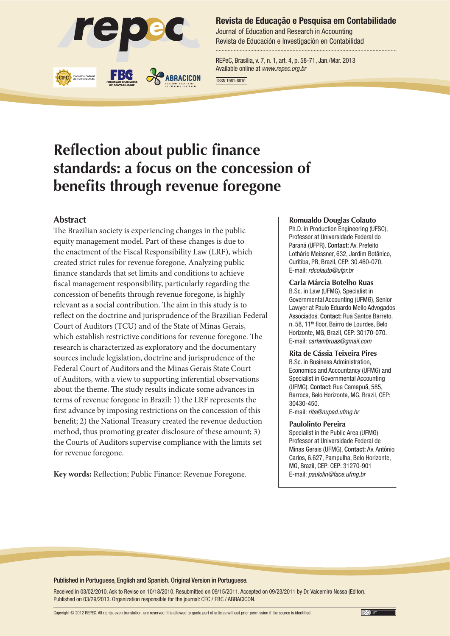

#### **Revista de Educação e Pesquisa em Contabilidade**

Journal of Education and Research in Accounting Revista de Educación e Investigación en Contabilidad

REPeC, Brasília, v. 7, n. 1, art. 4, p. 58-71, Jan./Mar. 2013 Available online at *www.repec.org.br*

ISSN 1981-8610

# **Reflection about public finance standards: a focus on the concession of benefits through revenue foregone**

#### **Abstract**

The Brazilian society is experiencing changes in the public equity management model. Part of these changes is due to the enactment of the Fiscal Responsibility Law (LRF), which created strict rules for revenue foregone. Analyzing public finance standards that set limits and conditions to achieve fiscal management responsibility, particularly regarding the concession of benefits through revenue foregone, is highly relevant as a social contribution. The aim in this study is to reflect on the doctrine and jurisprudence of the Brazilian Federal Court of Auditors (TCU) and of the State of Minas Gerais, which establish restrictive conditions for revenue foregone. The research is characterized as exploratory and the documentary sources include legislation, doctrine and jurisprudence of the Federal Court of Auditors and the Minas Gerais State Court of Auditors, with a view to supporting inferential observations about the theme. The study results indicate some advances in terms of revenue foregone in Brazil: 1) the LRF represents the first advance by imposing restrictions on the concession of this benefit; 2) the National Treasury created the revenue deduction method, thus promoting greater disclosure of these amount; 3) the Courts of Auditors supervise compliance with the limits set for revenue foregone.

**Key words:** Reflection; Public Finance: Revenue Foregone.

#### **Romualdo Douglas Colauto**

Ph.D. in Production Engineering (UFSC), Professor at Universidade Federal do Paraná (UFPR). Contact: Av. Prefeito Lothário Meissner, 632, Jardim Botânico, Curitiba, PR, Brazil, CEP: 30.460-070. E-mail: *rdcolauto@ufpr.br*

#### **Carla Márcia Botelho Ruas**

B.Sc. in Law (UFMG), Specialist in Governmental Accounting (UFMG), Senior Lawyer at Paulo Eduardo Mello Advogados Associados. Contact: Rua Santos Barreto, n. 58, 11<sup>th</sup> floor, Bairro de Lourdes, Belo Horizonte, MG, Brazil, CEP: 30170-070. E-mail: *carlambruas@gmail.com*

#### **Rita de Cássia Teixeira Pires**

B.Sc. in Business Administration, Economics and Accountancy (UFMG) and Specialist in Governmental Accounting (UFMG). Contact: Rua Camapuã, 585, Barroca, Belo Horizonte, MG, Brazil, CEP: 30430-450. E-mail: *rita@nupad.ufmg.br*

#### **Paulolinto Pereira**

Specialist in the Public Area (UFMG) Professor at Universidade Federal de Minas Gerais (UFMG). Contact: Av. Antônio Carlos, 6.627, Pampulha, Belo Horizonte, MG, Brazil, CEP: CEP: 31270-901 E-mail: *paulolin@face.ufmg.br*

Published in Portuguese, English and Spanish. Original Version in Portuguese.

Received in 03/02/2010. Ask to Revise on 10/18/2010. Resubmitted on 09/15/2011. Accepted on 09/23/2011 by Dr. Valcemiro Nossa (Editor). Published on 03/29/2013. Organization responsible for the journal: CFC / FBC / ABRACICON.

Copyright © 2012 REPEC. All rights, even translation, are reserved. It is allowed to quote part of articles without prior permission if the source is identified.

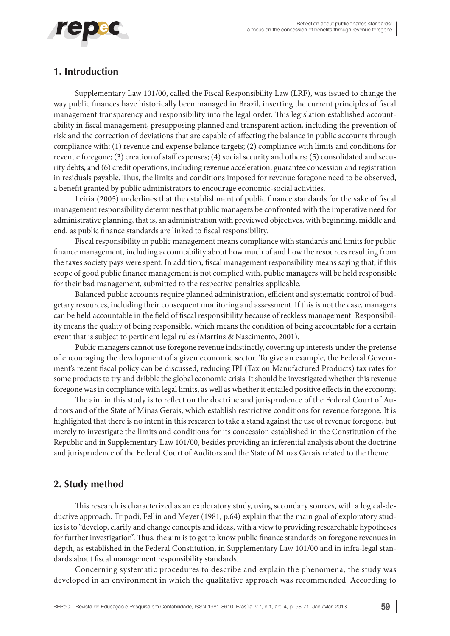

## **1. Introduction**

Supplementary Law 101/00, called the Fiscal Responsibility Law (LRF), was issued to change the way public finances have historically been managed in Brazil, inserting the current principles of fiscal management transparency and responsibility into the legal order. This legislation established accountability in fiscal management, presupposing planned and transparent action, including the prevention of risk and the correction of deviations that are capable of affecting the balance in public accounts through compliance with: (1) revenue and expense balance targets; (2) compliance with limits and conditions for revenue foregone; (3) creation of staff expenses; (4) social security and others; (5) consolidated and security debts; and (6) credit operations, including revenue acceleration, guarantee concession and registration in residuals payable. Thus, the limits and conditions imposed for revenue foregone need to be observed, a benefit granted by public administrators to encourage economic-social activities.

Leiria (2005) underlines that the establishment of public finance standards for the sake of fiscal management responsibility determines that public managers be confronted with the imperative need for administrative planning, that is, an administration with previewed objectives, with beginning, middle and end, as public finance standards are linked to fiscal responsibility.

Fiscal responsibility in public management means compliance with standards and limits for public finance management, including accountability about how much of and how the resources resulting from the taxes society pays were spent. In addition, fiscal management responsibility means saying that, if this scope of good public finance management is not complied with, public managers will be held responsible for their bad management, submitted to the respective penalties applicable.

Balanced public accounts require planned administration, efficient and systematic control of budgetary resources, including their consequent monitoring and assessment. If this is not the case, managers can be held accountable in the field of fiscal responsibility because of reckless management. Responsibility means the quality of being responsible, which means the condition of being accountable for a certain event that is subject to pertinent legal rules (Martins & Nascimento, 2001).

Public managers cannot use foregone revenue indistinctly, covering up interests under the pretense of encouraging the development of a given economic sector. To give an example, the Federal Government's recent fiscal policy can be discussed, reducing IPI (Tax on Manufactured Products) tax rates for some products to try and dribble the global economic crisis. It should be investigated whether this revenue foregone was in compliance with legal limits, as well as whether it entailed positive effects in the economy.

The aim in this study is to reflect on the doctrine and jurisprudence of the Federal Court of Auditors and of the State of Minas Gerais, which establish restrictive conditions for revenue foregone. It is highlighted that there is no intent in this research to take a stand against the use of revenue foregone, but merely to investigate the limits and conditions for its concession established in the Constitution of the Republic and in Supplementary Law 101/00, besides providing an inferential analysis about the doctrine and jurisprudence of the Federal Court of Auditors and the State of Minas Gerais related to the theme.

## **2. Study method**

This research is characterized as an exploratory study, using secondary sources, with a logical-deductive approach. Tripodi, Fellin and Meyer (1981, p.64) explain that the main goal of exploratory studies is to "develop, clarify and change concepts and ideas, with a view to providing researchable hypotheses for further investigation". Thus, the aim is to get to know public finance standards on foregone revenues in depth, as established in the Federal Constitution, in Supplementary Law 101/00 and in infra-legal standards about fiscal management responsibility standards.

Concerning systematic procedures to describe and explain the phenomena, the study was developed in an environment in which the qualitative approach was recommended. According to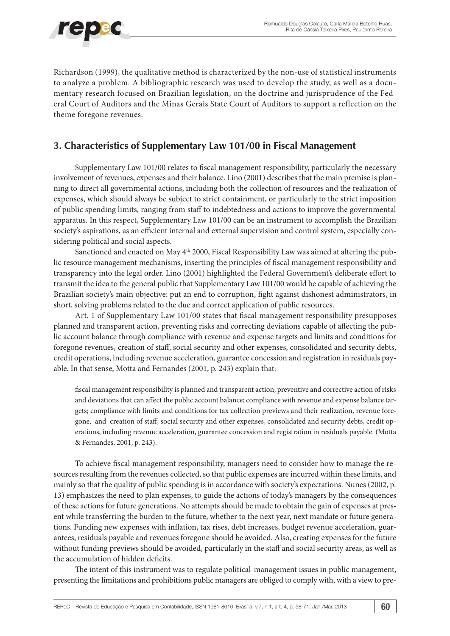

Richardson (1999), the qualitative method is characterized by the non-use of statistical instruments to analyze a problem. A bibliographic research was used to develop the study, as well as a documentary research focused on Brazilian legislation, on the doctrine and jurisprudence of the Federal Court of Auditors and the Minas Gerais State Court of Auditors to support a reflection on the theme foregone revenues.

## **3. Characteristics of Supplementary Law 101/00 in Fiscal Management**

Supplementary Law 101/00 relates to fiscal management responsibility, particularly the necessary involvement of revenues, expenses and their balance. Lino (2001) describes that the main premise is planning to direct all governmental actions, including both the collection of resources and the realization of expenses, which should always be subject to strict containment, or particularly to the strict imposition of public spending limits, ranging from staff to indebtedness and actions to improve the governmental apparatus. In this respect, Supplementary Law 101/00 can be an instrument to accomplish the Brazilian society's aspirations, as an efficient internal and external supervision and control system, especially considering political and social aspects.

Sanctioned and enacted on May 4<sup>th</sup> 2000, Fiscal Responsibility Law was aimed at altering the public resource management mechanisms, inserting the principles of fiscal management responsibility and transparency into the legal order. Lino (2001) highlighted the Federal Government's deliberate effort to transmit the idea to the general public that Supplementary Law 101/00 would be capable of achieving the Brazilian society's main objective: put an end to corruption, fight against dishonest administrators, in short, solving problems related to the due and correct application of public resources.

Art. 1 of Supplementary Law 101/00 states that fiscal management responsibility presupposes planned and transparent action, preventing risks and correcting deviations capable of affecting the public account balance through compliance with revenue and expense targets and limits and conditions for foregone revenues, creation of staff, social security and other expenses, consolidated and security debts, credit operations, including revenue acceleration, guarantee concession and registration in residuals payable. In that sense, Motta and Fernandes (2001, p. 243) explain that:

fiscal management responsibility is planned and transparent action; preventive and corrective action of risks and deviations that can affect the public account balance; compliance with revenue and expense balance targets; compliance with limits and conditions for tax collection previews and their realization, revenue foregone, and creation of staff, social security and other expenses, consolidated and security debts, credit operations, including revenue acceleration, guarantee concession and registration in residuals payable. (Motta & Fernandes, 2001, p. 243).

To achieve fiscal management responsibility, managers need to consider how to manage the resources resulting from the revenues collected, so that public expenses are incurred within these limits, and mainly so that the quality of public spending is in accordance with society's expectations. Nunes (2002, p. 13) emphasizes the need to plan expenses, to guide the actions of today's managers by the consequences of these actions for future generations. No attempts should be made to obtain the gain of expenses at present while transferring the burden to the future, whether to the next year, next mandate or future generations. Funding new expenses with inflation, tax rises, debt increases, budget revenue acceleration, guarantees, residuals payable and revenues foregone should be avoided. Also, creating expenses for the future without funding previews should be avoided, particularly in the staff and social security areas, as well as the accumulation of hidden deficits.

The intent of this instrument was to regulate political-management issues in public management, presenting the limitations and prohibitions public managers are obliged to comply with, with a view to pre-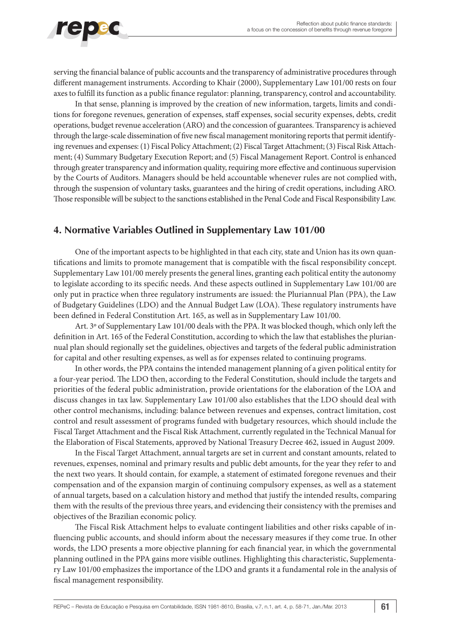

serving the financial balance of public accounts and the transparency of administrative procedures through different management instruments. According to Khair (2000), Supplementary Law 101/00 rests on four axes to fulfill its function as a public finance regulator: planning, transparency, control and accountability.

In that sense, planning is improved by the creation of new information, targets, limits and conditions for foregone revenues, generation of expenses, staff expenses, social security expenses, debts, credit operations, budget revenue acceleration (ARO) and the concession of guarantees. Transparency is achieved through the large-scale dissemination of five new fiscal management monitoring reports that permit identifying revenues and expenses: (1) Fiscal Policy Attachment; (2) Fiscal Target Attachment; (3) Fiscal Risk Attachment; (4) Summary Budgetary Execution Report; and (5) Fiscal Management Report. Control is enhanced through greater transparency and information quality, requiring more effective and continuous supervision by the Courts of Auditors. Managers should be held accountable whenever rules are not complied with, through the suspension of voluntary tasks, guarantees and the hiring of credit operations, including ARO. Those responsible will be subject to the sanctions established in the Penal Code and Fiscal Responsibility Law.

## **4. Normative Variables Outlined in Supplementary Law 101/00**

One of the important aspects to be highlighted in that each city, state and Union has its own quantifications and limits to promote management that is compatible with the fiscal responsibility concept. Supplementary Law 101/00 merely presents the general lines, granting each political entity the autonomy to legislate according to its specific needs. And these aspects outlined in Supplementary Law 101/00 are only put in practice when three regulatory instruments are issued: the Pluriannual Plan (PPA), the Law of Budgetary Guidelines (LDO) and the Annual Budget Law (LOA). These regulatory instruments have been defined in Federal Constitution Art. 165, as well as in Supplementary Law 101/00.

Art. 3º of Supplementary Law 101/00 deals with the PPA. It was blocked though, which only left the definition in Art. 165 of the Federal Constitution, according to which the law that establishes the pluriannual plan should regionally set the guidelines, objectives and targets of the federal public administration for capital and other resulting expenses, as well as for expenses related to continuing programs.

In other words, the PPA contains the intended management planning of a given political entity for a four-year period. The LDO then, according to the Federal Constitution, should include the targets and priorities of the federal public administration, provide orientations for the elaboration of the LOA and discuss changes in tax law. Supplementary Law 101/00 also establishes that the LDO should deal with other control mechanisms, including: balance between revenues and expenses, contract limitation, cost control and result assessment of programs funded with budgetary resources, which should include the Fiscal Target Attachment and the Fiscal Risk Attachment, currently regulated in the Technical Manual for the Elaboration of Fiscal Statements, approved by National Treasury Decree 462, issued in August 2009.

In the Fiscal Target Attachment, annual targets are set in current and constant amounts, related to revenues, expenses, nominal and primary results and public debt amounts, for the year they refer to and the next two years. It should contain, for example, a statement of estimated foregone revenues and their compensation and of the expansion margin of continuing compulsory expenses, as well as a statement of annual targets, based on a calculation history and method that justify the intended results, comparing them with the results of the previous three years, and evidencing their consistency with the premises and objectives of the Brazilian economic policy.

The Fiscal Risk Attachment helps to evaluate contingent liabilities and other risks capable of influencing public accounts, and should inform about the necessary measures if they come true. In other words, the LDO presents a more objective planning for each financial year, in which the governmental planning outlined in the PPA gains more visible outlines. Highlighting this characteristic, Supplementary Law 101/00 emphasizes the importance of the LDO and grants it a fundamental role in the analysis of fiscal management responsibility.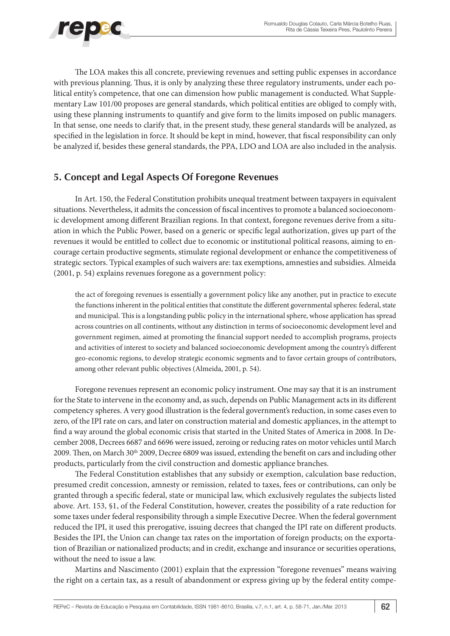

The LOA makes this all concrete, previewing revenues and setting public expenses in accordance with previous planning. Thus, it is only by analyzing these three regulatory instruments, under each political entity's competence, that one can dimension how public management is conducted. What Supplementary Law 101/00 proposes are general standards, which political entities are obliged to comply with, using these planning instruments to quantify and give form to the limits imposed on public managers. In that sense, one needs to clarify that, in the present study, these general standards will be analyzed, as specified in the legislation in force. It should be kept in mind, however, that fiscal responsibility can only be analyzed if, besides these general standards, the PPA, LDO and LOA are also included in the analysis.

## **5. Concept and Legal Aspects Of Foregone Revenues**

In Art. 150, the Federal Constitution prohibits unequal treatment between taxpayers in equivalent situations. Nevertheless, it admits the concession of fiscal incentives to promote a balanced socioeconomic development among different Brazilian regions. In that context, foregone revenues derive from a situation in which the Public Power, based on a generic or specific legal authorization, gives up part of the revenues it would be entitled to collect due to economic or institutional political reasons, aiming to encourage certain productive segments, stimulate regional development or enhance the competitiveness of strategic sectors. Typical examples of such waivers are: tax exemptions, amnesties and subsidies. Almeida (2001, p. 54) explains revenues foregone as a government policy:

the act of foregoing revenues is essentially a government policy like any another, put in practice to execute the functions inherent in the political entities that constitute the different governmental spheres: federal, state and municipal. This is a longstanding public policy in the international sphere, whose application has spread across countries on all continents, without any distinction in terms of socioeconomic development level and government regimen, aimed at promoting the financial support needed to accomplish programs, projects and activities of interest to society and balanced socioeconomic development among the country's different geo-economic regions, to develop strategic economic segments and to favor certain groups of contributors, among other relevant public objectives (Almeida, 2001, p. 54).

Foregone revenues represent an economic policy instrument. One may say that it is an instrument for the State to intervene in the economy and, as such, depends on Public Management acts in its different competency spheres. A very good illustration is the federal government's reduction, in some cases even to zero, of the IPI rate on cars, and later on construction material and domestic appliances, in the attempt to find a way around the global economic crisis that started in the United States of America in 2008. In December 2008, Decrees 6687 and 6696 were issued, zeroing or reducing rates on motor vehicles until March 2009. Then, on March 30<sup>th</sup> 2009, Decree 6809 was issued, extending the benefit on cars and including other products, particularly from the civil construction and domestic appliance branches.

The Federal Constitution establishes that any subsidy or exemption, calculation base reduction, presumed credit concession, amnesty or remission, related to taxes, fees or contributions, can only be granted through a specific federal, state or municipal law, which exclusively regulates the subjects listed above. Art. 153, §1, of the Federal Constitution, however, creates the possibility of a rate reduction for some taxes under federal responsibility through a simple Executive Decree. When the federal government reduced the IPI, it used this prerogative, issuing decrees that changed the IPI rate on different products. Besides the IPI, the Union can change tax rates on the importation of foreign products; on the exportation of Brazilian or nationalized products; and in credit, exchange and insurance or securities operations, without the need to issue a law.

Martins and Nascimento (2001) explain that the expression "foregone revenues" means waiving the right on a certain tax, as a result of abandonment or express giving up by the federal entity compe-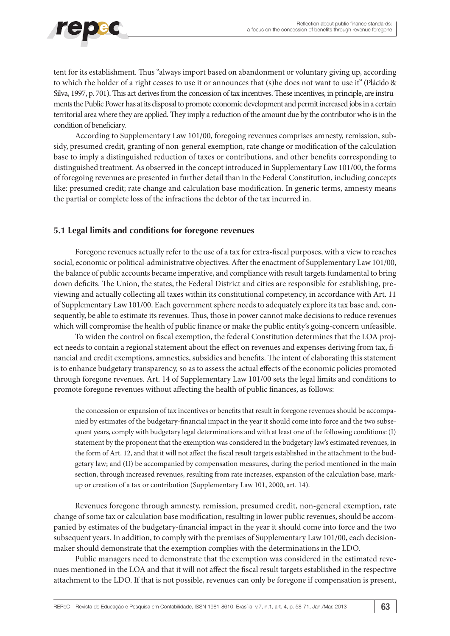

tent for its establishment. Thus "always import based on abandonment or voluntary giving up, according to which the holder of a right ceases to use it or announces that (s)he does not want to use it" (Plácido & Silva, 1997, p. 701). This act derives from the concession of tax incentives. These incentives, in principle, are instruments the Public Power has at its disposal to promote economic development and permit increased jobs in a certain territorial area where they are applied. They imply a reduction of the amount due by the contributor who is in the condition of beneficiary.

According to Supplementary Law 101/00, foregoing revenues comprises amnesty, remission, subsidy, presumed credit, granting of non-general exemption, rate change or modification of the calculation base to imply a distinguished reduction of taxes or contributions, and other benefits corresponding to distinguished treatment. As observed in the concept introduced in Supplementary Law 101/00, the forms of foregoing revenues are presented in further detail than in the Federal Constitution, including concepts like: presumed credit; rate change and calculation base modification. In generic terms, amnesty means the partial or complete loss of the infractions the debtor of the tax incurred in.

#### **5.1 Legal limits and conditions for foregone revenues**

Foregone revenues actually refer to the use of a tax for extra-fiscal purposes, with a view to reaches social, economic or political-administrative objectives. After the enactment of Supplementary Law 101/00, the balance of public accounts became imperative, and compliance with result targets fundamental to bring down deficits. The Union, the states, the Federal District and cities are responsible for establishing, previewing and actually collecting all taxes within its constitutional competency, in accordance with Art. 11 of Supplementary Law 101/00. Each government sphere needs to adequately explore its tax base and, consequently, be able to estimate its revenues. Thus, those in power cannot make decisions to reduce revenues which will compromise the health of public finance or make the public entity's going-concern unfeasible.

To widen the control on fiscal exemption, the federal Constitution determines that the LOA project needs to contain a regional statement about the effect on revenues and expenses deriving from tax, financial and credit exemptions, amnesties, subsidies and benefits. The intent of elaborating this statement is to enhance budgetary transparency, so as to assess the actual effects of the economic policies promoted through foregone revenues. Art. 14 of Supplementary Law 101/00 sets the legal limits and conditions to promote foregone revenues without affecting the health of public finances, as follows:

the concession or expansion of tax incentives or benefits that result in foregone revenues should be accompanied by estimates of the budgetary-financial impact in the year it should come into force and the two subsequent years, comply with budgetary legal determinations and with at least one of the following conditions: (I) statement by the proponent that the exemption was considered in the budgetary law's estimated revenues, in the form of Art. 12, and that it will not affect the fiscal result targets established in the attachment to the budgetary law; and (II) be accompanied by compensation measures, during the period mentioned in the main section, through increased revenues, resulting from rate increases, expansion of the calculation base, markup or creation of a tax or contribution (Supplementary Law 101, 2000, art. 14).

Revenues foregone through amnesty, remission, presumed credit, non-general exemption, rate change of some tax or calculation base modification, resulting in lower public revenues, should be accompanied by estimates of the budgetary-financial impact in the year it should come into force and the two subsequent years. In addition, to comply with the premises of Supplementary Law 101/00, each decisionmaker should demonstrate that the exemption complies with the determinations in the LDO.

Public managers need to demonstrate that the exemption was considered in the estimated revenues mentioned in the LOA and that it will not affect the fiscal result targets established in the respective attachment to the LDO. If that is not possible, revenues can only be foregone if compensation is present,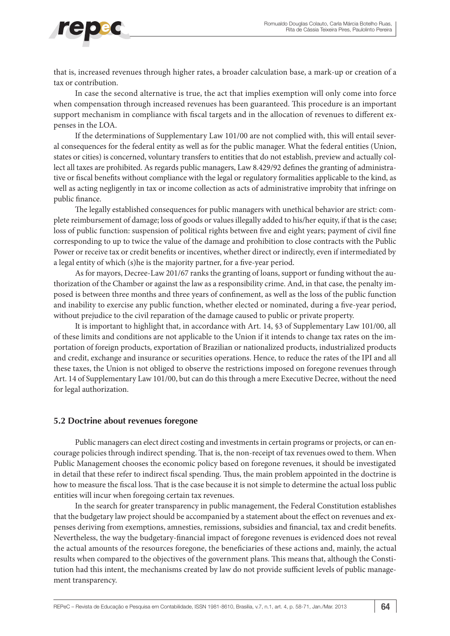that is, increased revenues through higher rates, a broader calculation base, a mark-up or creation of a tax or contribution.

In case the second alternative is true, the act that implies exemption will only come into force when compensation through increased revenues has been guaranteed. This procedure is an important support mechanism in compliance with fiscal targets and in the allocation of revenues to different expenses in the LOA.

If the determinations of Supplementary Law 101/00 are not complied with, this will entail several consequences for the federal entity as well as for the public manager. What the federal entities (Union, states or cities) is concerned, voluntary transfers to entities that do not establish, preview and actually collect all taxes are prohibited. As regards public managers, Law 8.429/92 defines the granting of administrative or fiscal benefits without compliance with the legal or regulatory formalities applicable to the kind, as well as acting negligently in tax or income collection as acts of administrative improbity that infringe on public finance.

The legally established consequences for public managers with unethical behavior are strict: complete reimbursement of damage; loss of goods or values illegally added to his/her equity, if that is the case; loss of public function: suspension of political rights between five and eight years; payment of civil fine corresponding to up to twice the value of the damage and prohibition to close contracts with the Public Power or receive tax or credit benefits or incentives, whether direct or indirectly, even if intermediated by a legal entity of which (s)he is the majority partner, for a five-year period.

As for mayors, Decree-Law 201/67 ranks the granting of loans, support or funding without the authorization of the Chamber or against the law as a responsibility crime. And, in that case, the penalty imposed is between three months and three years of confinement, as well as the loss of the public function and inability to exercise any public function, whether elected or nominated, during a five-year period, without prejudice to the civil reparation of the damage caused to public or private property.

It is important to highlight that, in accordance with Art. 14, §3 of Supplementary Law 101/00, all of these limits and conditions are not applicable to the Union if it intends to change tax rates on the importation of foreign products, exportation of Brazilian or nationalized products, industrialized products and credit, exchange and insurance or securities operations. Hence, to reduce the rates of the IPI and all these taxes, the Union is not obliged to observe the restrictions imposed on foregone revenues through Art. 14 of Supplementary Law 101/00, but can do this through a mere Executive Decree, without the need for legal authorization.

#### **5.2 Doctrine about revenues foregone**

Public managers can elect direct costing and investments in certain programs or projects, or can encourage policies through indirect spending. That is, the non-receipt of tax revenues owed to them. When Public Management chooses the economic policy based on foregone revenues, it should be investigated in detail that these refer to indirect fiscal spending. Thus, the main problem appointed in the doctrine is how to measure the fiscal loss. That is the case because it is not simple to determine the actual loss public entities will incur when foregoing certain tax revenues.

In the search for greater transparency in public management, the Federal Constitution establishes that the budgetary law project should be accompanied by a statement about the effect on revenues and expenses deriving from exemptions, amnesties, remissions, subsidies and financial, tax and credit benefits. Nevertheless, the way the budgetary-financial impact of foregone revenues is evidenced does not reveal the actual amounts of the resources foregone, the beneficiaries of these actions and, mainly, the actual results when compared to the objectives of the government plans. This means that, although the Constitution had this intent, the mechanisms created by law do not provide sufficient levels of public management transparency.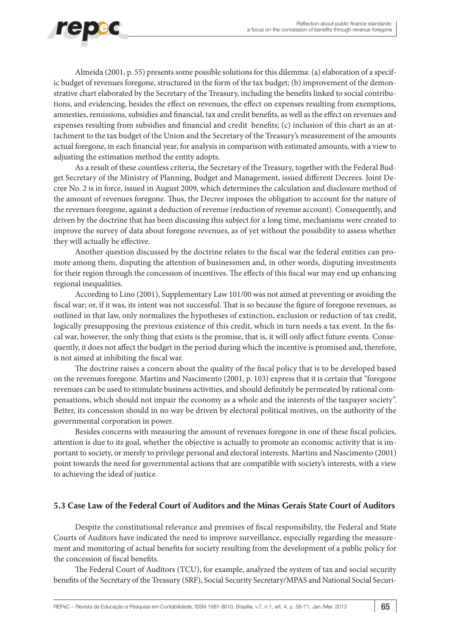

Almeida (2001, p. 55) presents some possible solutions for this dilemma: (a) elaboration of a specific budget of revenues foregone, structured in the form of the tax budget; (b) improvement of the demonstrative chart elaborated by the Secretary of the Treasury, including the benefits linked to social contributions, and evidencing, besides the effect on revenues, the effect on expenses resulting from exemptions, amnesties, remissions, subsidies and financial, tax and credit benefits, as well as the effect on revenues and expenses resulting from subsidies and financial and credit benefits; (c) inclusion of this chart as an attachment to the tax budget of the Union and the Secretary of the Treasury's measurement of the amounts actual foregone, in each financial year, for analysis in comparison with estimated amounts, with a view to adjusting the estimation method the entity adopts.

As a result of these countless criteria, the Secretary of the Treasury, together with the Federal Budget Secretary of the Ministry of Planning, Budget and Management, issued different Decrees. Joint Decree No. 2 is in force, issued in August 2009, which determines the calculation and disclosure method of the amount of revenues foregone. Thus, the Decree imposes the obligation to account for the nature of the revenues foregone, against a deduction of revenue (reduction of revenue account). Consequently, and driven by the doctrine that has been discussing this subject for a long time, mechanisms were created to improve the survey of data about foregone revenues, as of yet without the possibility to assess whether they will actually be effective.

Another question discussed by the doctrine relates to the fiscal war the federal entities can promote among them, disputing the attention of businessmen and, in other words, disputing investments for their region through the concession of incentives. The effects of this fiscal war may end up enhancing regional inequalities.

According to Lino (2001), Supplementary Law 101/00 was not aimed at preventing or avoiding the fiscal war; or, if it was, its intent was not successful. That is so because the figure of foregone revenues, as outlined in that law, only normalizes the hypotheses of extinction, exclusion or reduction of tax credit, logically presupposing the previous existence of this credit, which in turn needs a tax event. In the fiscal war, however, the only thing that exists is the promise, that is, it will only affect future events. Consequently, it does not affect the budget in the period during which the incentive is promised and, therefore, is not aimed at inhibiting the fiscal war.

The doctrine raises a concern about the quality of the fiscal policy that is to be developed based on the revenues foregone. Martins and Nascimento (2001, p. 103) express that it is certain that "foregone revenues can be used to stimulate business activities, and should definitely be permeated by rational compensations, which should not impair the economy as a whole and the interests of the taxpayer society". Better, its concession should in no way be driven by electoral political motives, on the authority of the governmental corporation in power.

Besides concerns with measuring the amount of revenues foregone in one of these fiscal policies, attention is due to its goal, whether the objective is actually to promote an economic activity that is important to society, or merely to privilege personal and electoral interests. Martins and Nascimento (2001) point towards the need for governmental actions that are compatible with society's interests, with a view to achieving the ideal of justice.

#### **5.3 Case Law of the Federal Court of Auditors and the Minas Gerais State Court of Auditors**

Despite the constitutional relevance and premises of fiscal responsibility, the Federal and State Courts of Auditors have indicated the need to improve surveillance, especially regarding the measurement and monitoring of actual benefits for society resulting from the development of a public policy for the concession of fiscal benefits.

The Federal Court of Auditors (TCU), for example, analyzed the system of tax and social security benefits of the Secretary of the Treasury (SRF), Social Security Secretary/MPAS and National Social Securi-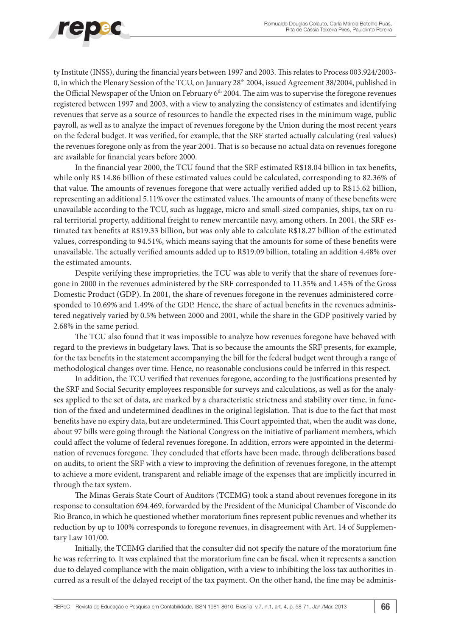

ty Institute (INSS), during the financial years between 1997 and 2003. This relates to Process 003.924/2003- 0, in which the Plenary Session of the TCU, on January 28<sup>th</sup> 2004, issued Agreement 38/2004, published in the Official Newspaper of the Union on February 6<sup>th</sup> 2004. The aim was to supervise the foregone revenues registered between 1997 and 2003, with a view to analyzing the consistency of estimates and identifying revenues that serve as a source of resources to handle the expected rises in the minimum wage, public payroll, as well as to analyze the impact of revenues foregone by the Union during the most recent years on the federal budget. It was verified, for example, that the SRF started actually calculating (real values) the revenues foregone only as from the year 2001. That is so because no actual data on revenues foregone are available for financial years before 2000.

In the financial year 2000, the TCU found that the SRF estimated R\$18.04 billion in tax benefits, while only R\$ 14.86 billion of these estimated values could be calculated, corresponding to 82.36% of that value. The amounts of revenues foregone that were actually verified added up to R\$15.62 billion, representing an additional 5.11% over the estimated values. The amounts of many of these benefits were unavailable according to the TCU, such as luggage, micro and small-sized companies, ships, tax on rural territorial property, additional freight to renew mercantile navy, among others. In 2001, the SRF estimated tax benefits at R\$19.33 billion, but was only able to calculate R\$18.27 billion of the estimated values, corresponding to 94.51%, which means saying that the amounts for some of these benefits were unavailable. The actually verified amounts added up to R\$19.09 billion, totaling an addition 4.48% over the estimated amounts.

Despite verifying these improprieties, the TCU was able to verify that the share of revenues foregone in 2000 in the revenues administered by the SRF corresponded to 11.35% and 1.45% of the Gross Domestic Product (GDP). In 2001, the share of revenues foregone in the revenues administered corresponded to 10.69% and 1.49% of the GDP. Hence, the share of actual benefits in the revenues administered negatively varied by 0.5% between 2000 and 2001, while the share in the GDP positively varied by 2.68% in the same period.

The TCU also found that it was impossible to analyze how revenues foregone have behaved with regard to the previews in budgetary laws. That is so because the amounts the SRF presents, for example, for the tax benefits in the statement accompanying the bill for the federal budget went through a range of methodological changes over time. Hence, no reasonable conclusions could be inferred in this respect.

In addition, the TCU verified that revenues foregone, according to the justifications presented by the SRF and Social Security employees responsible for surveys and calculations, as well as for the analyses applied to the set of data, are marked by a characteristic strictness and stability over time, in function of the fixed and undetermined deadlines in the original legislation. That is due to the fact that most benefits have no expiry data, but are undetermined. This Court appointed that, when the audit was done, about 97 bills were going through the National Congress on the initiative of parliament members, which could affect the volume of federal revenues foregone. In addition, errors were appointed in the determination of revenues foregone. They concluded that efforts have been made, through deliberations based on audits, to orient the SRF with a view to improving the definition of revenues foregone, in the attempt to achieve a more evident, transparent and reliable image of the expenses that are implicitly incurred in through the tax system.

The Minas Gerais State Court of Auditors (TCEMG) took a stand about revenues foregone in its response to consultation 694.469, forwarded by the President of the Municipal Chamber of Visconde do Rio Branco, in which he questioned whether moratorium fines represent public revenues and whether its reduction by up to 100% corresponds to foregone revenues, in disagreement with Art. 14 of Supplementary Law 101/00.

Initially, the TCEMG clarified that the consulter did not specify the nature of the moratorium fine he was referring to. It was explained that the moratorium fine can be fiscal, when it represents a sanction due to delayed compliance with the main obligation, with a view to inhibiting the loss tax authorities incurred as a result of the delayed receipt of the tax payment. On the other hand, the fine may be adminis-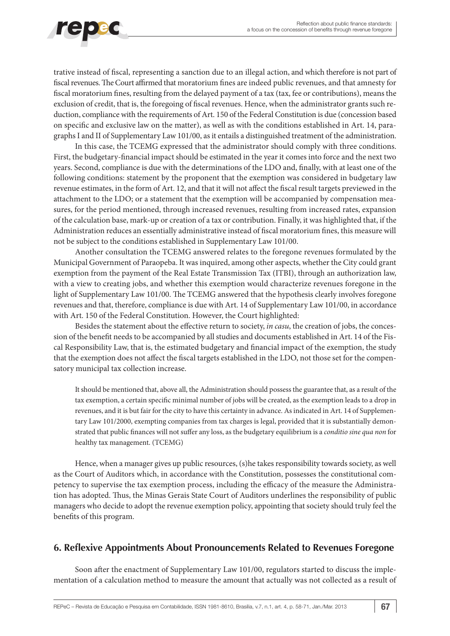trative instead of fiscal, representing a sanction due to an illegal action, and which therefore is not part of fiscal revenues. The Court affirmed that moratorium fines are indeed public revenues, and that amnesty for fiscal moratorium fines, resulting from the delayed payment of a tax (tax, fee or contributions), means the exclusion of credit, that is, the foregoing of fiscal revenues. Hence, when the administrator grants such reduction, compliance with the requirements of Art. 150 of the Federal Constitution is due (concession based on specific and exclusive law on the matter), as well as with the conditions established in Art. 14, paragraphs I and II of Supplementary Law 101/00, as it entails a distinguished treatment of the administration.

In this case, the TCEMG expressed that the administrator should comply with three conditions. First, the budgetary-financial impact should be estimated in the year it comes into force and the next two years. Second, compliance is due with the determinations of the LDO and, finally, with at least one of the following conditions: statement by the proponent that the exemption was considered in budgetary law revenue estimates, in the form of Art. 12, and that it will not affect the fiscal result targets previewed in the attachment to the LDO; or a statement that the exemption will be accompanied by compensation measures, for the period mentioned, through increased revenues, resulting from increased rates, expansion of the calculation base, mark-up or creation of a tax or contribution. Finally, it was highlighted that, if the Administration reduces an essentially administrative instead of fiscal moratorium fines, this measure will not be subject to the conditions established in Supplementary Law 101/00.

Another consultation the TCEMG answered relates to the foregone revenues formulated by the Municipal Government of Paraopeba. It was inquired, among other aspects, whether the City could grant exemption from the payment of the Real Estate Transmission Tax (ITBI), through an authorization law, with a view to creating jobs, and whether this exemption would characterize revenues foregone in the light of Supplementary Law 101/00. The TCEMG answered that the hypothesis clearly involves foregone revenues and that, therefore, compliance is due with Art. 14 of Supplementary Law 101/00, in accordance with Art. 150 of the Federal Constitution. However, the Court highlighted:

Besides the statement about the effective return to society, *in casu*, the creation of jobs, the concession of the benefit needs to be accompanied by all studies and documents established in Art. 14 of the Fiscal Responsibility Law, that is, the estimated budgetary and financial impact of the exemption, the study that the exemption does not affect the fiscal targets established in the LDO, not those set for the compensatory municipal tax collection increase.

It should be mentioned that, above all, the Administration should possess the guarantee that, as a result of the tax exemption, a certain specific minimal number of jobs will be created, as the exemption leads to a drop in revenues, and it is but fair for the city to have this certainty in advance. As indicated in Art. 14 of Supplementary Law 101/2000, exempting companies from tax charges is legal, provided that it is substantially demonstrated that public finances will not suffer any loss, as the budgetary equilibrium is a *conditio sine qua non* for healthy tax management. (TCEMG)

Hence, when a manager gives up public resources, (s)he takes responsibility towards society, as well as the Court of Auditors which, in accordance with the Constitution, possesses the constitutional competency to supervise the tax exemption process, including the efficacy of the measure the Administration has adopted. Thus, the Minas Gerais State Court of Auditors underlines the responsibility of public managers who decide to adopt the revenue exemption policy, appointing that society should truly feel the benefits of this program.

## **6. Reflexive Appointments About Pronouncements Related to Revenues Foregone**

Soon after the enactment of Supplementary Law 101/00, regulators started to discuss the implementation of a calculation method to measure the amount that actually was not collected as a result of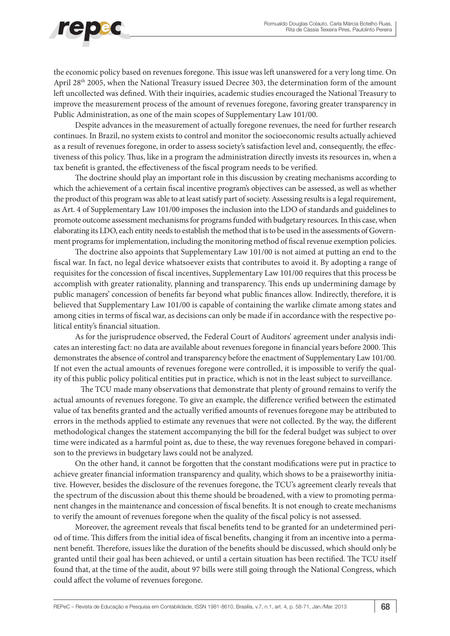

the economic policy based on revenues foregone. This issue was left unanswered for a very long time. On April 28<sup>th</sup> 2005, when the National Treasury issued Decree 303, the determination form of the amount left uncollected was defined. With their inquiries, academic studies encouraged the National Treasury to improve the measurement process of the amount of revenues foregone, favoring greater transparency in Public Administration, as one of the main scopes of Supplementary Law 101/00.

Despite advances in the measurement of actually foregone revenues, the need for further research continues. In Brazil, no system exists to control and monitor the socioeconomic results actually achieved as a result of revenues foregone, in order to assess society's satisfaction level and, consequently, the effectiveness of this policy. Thus, like in a program the administration directly invests its resources in, when a tax benefit is granted, the effectiveness of the fiscal program needs to be verified.

The doctrine should play an important role in this discussion by creating mechanisms according to which the achievement of a certain fiscal incentive program's objectives can be assessed, as well as whether the product of this program was able to at least satisfy part of society. Assessing results is a legal requirement, as Art. 4 of Supplementary Law 101/00 imposes the inclusion into the LDO of standards and guidelines to promote outcome assessment mechanisms for programs funded with budgetary resources. In this case, when elaborating its LDO, each entity needs to establish the method that is to be used in the assessments of Government programs for implementation, including the monitoring method of fiscal revenue exemption policies.

The doctrine also appoints that Supplementary Law 101/00 is not aimed at putting an end to the fiscal war. In fact, no legal device whatsoever exists that contributes to avoid it. By adopting a range of requisites for the concession of fiscal incentives, Supplementary Law 101/00 requires that this process be accomplish with greater rationality, planning and transparency. This ends up undermining damage by public managers' concession of benefits far beyond what public finances allow. Indirectly, therefore, it is believed that Supplementary Law 101/00 is capable of containing the warlike climate among states and among cities in terms of fiscal war, as decisions can only be made if in accordance with the respective political entity's financial situation.

As for the jurisprudence observed, the Federal Court of Auditors' agreement under analysis indicates an interesting fact: no data are available about revenues foregone in financial years before 2000. This demonstrates the absence of control and transparency before the enactment of Supplementary Law 101/00. If not even the actual amounts of revenues foregone were controlled, it is impossible to verify the quality of this public policy political entities put in practice, which is not in the least subject to surveillance.

The TCU made many observations that demonstrate that plenty of ground remains to verify the actual amounts of revenues foregone. To give an example, the difference verified between the estimated value of tax benefits granted and the actually verified amounts of revenues foregone may be attributed to errors in the methods applied to estimate any revenues that were not collected. By the way, the different methodological changes the statement accompanying the bill for the federal budget was subject to over time were indicated as a harmful point as, due to these, the way revenues foregone behaved in comparison to the previews in budgetary laws could not be analyzed.

On the other hand, it cannot be forgotten that the constant modifications were put in practice to achieve greater financial information transparency and quality, which shows to be a praiseworthy initiative. However, besides the disclosure of the revenues foregone, the TCU's agreement clearly reveals that the spectrum of the discussion about this theme should be broadened, with a view to promoting permanent changes in the maintenance and concession of fiscal benefits. It is not enough to create mechanisms to verify the amount of revenues foregone when the quality of the fiscal policy is not assessed.

Moreover, the agreement reveals that fiscal benefits tend to be granted for an undetermined period of time. This differs from the initial idea of fiscal benefits, changing it from an incentive into a permanent benefit. Therefore, issues like the duration of the benefits should be discussed, which should only be granted until their goal has been achieved, or until a certain situation has been rectified. The TCU itself found that, at the time of the audit, about 97 bills were still going through the National Congress, which could affect the volume of revenues foregone.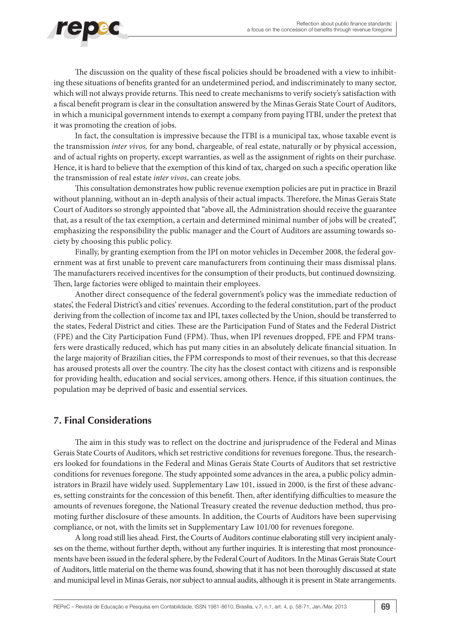

The discussion on the quality of these fiscal policies should be broadened with a view to inhibiting these situations of benefits granted for an undetermined period, and indiscriminately to many sector, which will not always provide returns. This need to create mechanisms to verify society's satisfaction with a fiscal benefit program is clear in the consultation answered by the Minas Gerais State Court of Auditors, in which a municipal government intends to exempt a company from paying ITBI, under the pretext that it was promoting the creation of jobs.

In fact, the consultation is impressive because the ITBI is a municipal tax, whose taxable event is the transmission *inter vivos,* for any bond, chargeable, of real estate, naturally or by physical accession, and of actual rights on property, except warranties, as well as the assignment of rights on their purchase. Hence, it is hard to believe that the exemption of this kind of tax, charged on such a specific operation like the transmission of real estate *inter vivos*, can create jobs.

This consultation demonstrates how public revenue exemption policies are put in practice in Brazil without planning, without an in-depth analysis of their actual impacts. Therefore, the Minas Gerais State Court of Auditors so strongly appointed that "above all, the Administration should receive the guarantee that, as a result of the tax exemption, a certain and determined minimal number of jobs will be created", emphasizing the responsibility the public manager and the Court of Auditors are assuming towards society by choosing this public policy.

Finally, by granting exemption from the IPI on motor vehicles in December 2008, the federal government was at first unable to prevent care manufacturers from continuing their mass dismissal plans. The manufacturers received incentives for the consumption of their products, but continued downsizing. Then, large factories were obliged to maintain their employees.

Another direct consequence of the federal government's policy was the immediate reduction of states', the Federal District's and cities' revenues. According to the federal constitution, part of the product deriving from the collection of income tax and IPI, taxes collected by the Union, should be transferred to the states, Federal District and cities. These are the Participation Fund of States and the Federal District (FPE) and the City Participation Fund (FPM). Thus, when IPI revenues dropped, FPE and FPM transfers were drastically reduced, which has put many cities in an absolutely delicate financial situation. In the large majority of Brazilian cities, the FPM corresponds to most of their revenues, so that this decrease has aroused protests all over the country. The city has the closest contact with citizens and is responsible for providing health, education and social services, among others. Hence, if this situation continues, the population may be deprived of basic and essential services.

#### **7. Final Considerations**

The aim in this study was to reflect on the doctrine and jurisprudence of the Federal and Minas Gerais State Courts of Auditors, which set restrictive conditions for revenues foregone. Thus, the researchers looked for foundations in the Federal and Minas Gerais State Courts of Auditors that set restrictive conditions for revenues foregone. The study appointed some advances in the area, a public policy administrators in Brazil have widely used. Supplementary Law 101, issued in 2000, is the first of these advances, setting constraints for the concession of this benefit. Then, after identifying difficulties to measure the amounts of revenues foregone, the National Treasury created the revenue deduction method, thus promoting further disclosure of these amounts. In addition, the Courts of Auditors have been supervising compliance, or not, with the limits set in Supplementary Law 101/00 for revenues foregone.

A long road still lies ahead. First, the Courts of Auditors continue elaborating still very incipient analyses on the theme, without further depth, without any further inquiries. It is interesting that most pronouncements have been issued in the federal sphere, by the Federal Court of Auditors. In the Minas Gerais State Court of Auditors, little material on the theme was found, showing that it has not been thoroughly discussed at state and municipal level in Minas Gerais, nor subject to annual audits, although it is present in State arrangements.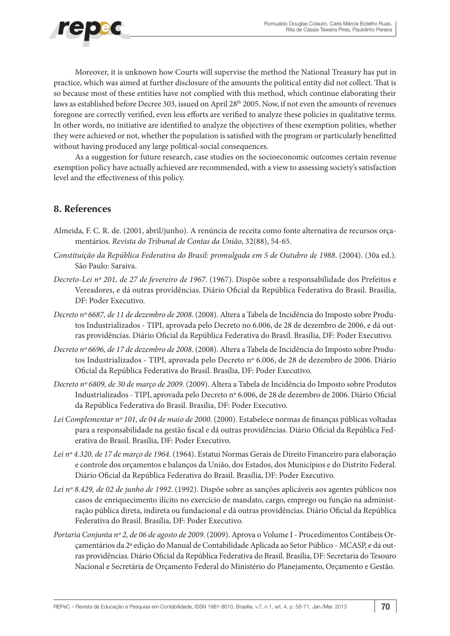

Moreover, it is unknown how Courts will supervise the method the National Treasury has put in practice, which was aimed at further disclosure of the amounts the political entity did not collect. That is so because most of these entities have not complied with this method, which continue elaborating their laws as established before Decree 303, issued on April 28th 2005. Now, if not even the amounts of revenues foregone are correctly verified, even less efforts are verified to analyze these policies in qualitative terms. In other words, no initiative are identified to analyze the objectives of these exemption polities, whether they were achieved or not, whether the population is satisfied with the program or particularly benefitted without having produced any large political-social consequences.

As a suggestion for future research, case studies on the socioeconomic outcomes certain revenue exemption policy have actually achieved are recommended, with a view to assessing society's satisfaction level and the effectiveness of this policy.

#### **8. References**

- Almeida, F. C. R. de. (2001, abril/junho). A renúncia de receita como fonte alternativa de recursos orçamentários. *Revista do Tribunal de Contas da União*, 32(88), 54-65.
- *Constituição da República Federativa do Brasil: promulgada em 5 de Outubro de 1988*. (2004). (30a ed.). São Paulo: Saraiva.
- *Decreto-Lei nº 201, de 27 de fevereiro de 1967*. (1967). Dispõe sobre a responsabilidade dos Prefeitos e Vereadores, e dá outras providências. Diário Oficial da República Federativa do Brasil. Brasília, DF: Poder Executivo.
- *Decreto nº 6687, de 11 de dezembro de 2008*. (2008). Altera a Tabela de Incidência do Imposto sobre Produtos Industrializados - TIPI, aprovada pelo Decreto no 6.006, de 28 de dezembro de 2006, e dá outras providências. Diário Oficial da República Federativa do Brasil. Brasília, DF: Poder Executivo.
- *Decreto nº 6696, de 17 de dezembro de 2008*. (2008). Altera a Tabela de Incidência do Imposto sobre Produtos Industrializados - TIPI, aprovada pelo Decreto nº 6.006, de 28 de dezembro de 2006. Diário Oficial da República Federativa do Brasil. Brasília, DF: Poder Executivo.
- *Decreto nº 6809, de 30 de março de 2009*. (2009). Altera a Tabela de Incidência do Imposto sobre Produtos Industrializados - TIPI, aprovada pelo Decreto nº 6.006, de 28 de dezembro de 2006. Diário Oficial da República Federativa do Brasil. Brasília, DF: Poder Executivo.
- *Lei Complementar nº 101, de 04 de maio de 2000*. (2000). Estabelece normas de finanças públicas voltadas para a responsabilidade na gestão fiscal e dá outras providências. Diário Oficial da República Federativa do Brasil. Brasília, DF: Poder Executivo.
- *Lei nº 4.320, de 17 de março de 1964*. (1964). Estatui Normas Gerais de Direito Financeiro para elaboração e controle dos orçamentos e balanços da União, dos Estados, dos Municípios e do Distrito Federal. Diário Oficial da República Federativa do Brasil. Brasília, DF: Poder Executivo.
- *Lei nº 8.429, de 02 de junho de 1992*. (1992). Dispõe sobre as sanções aplicáveis aos agentes públicos nos casos de enriquecimento ilícito no exercício de mandato, cargo, emprego ou função na administração pública direta, indireta ou fundacional e dá outras providências. Diário Oficial da República Federativa do Brasil. Brasília, DF: Poder Executivo.
- *Portaria Conjunta nº 2, de 06 de agosto de 2009*. (2009). Aprova o Volume I Procedimentos Contábeis Orçamentários da 2ª edição do Manual de Contabilidade Aplicada ao Setor Público - MCASP, e dá outras providências. Diário Oficial da República Federativa do Brasil. Brasília, DF: Secretaria do Tesouro Nacional e Secretária de Orçamento Federal do Ministério do Planejamento, Orçamento e Gestão.